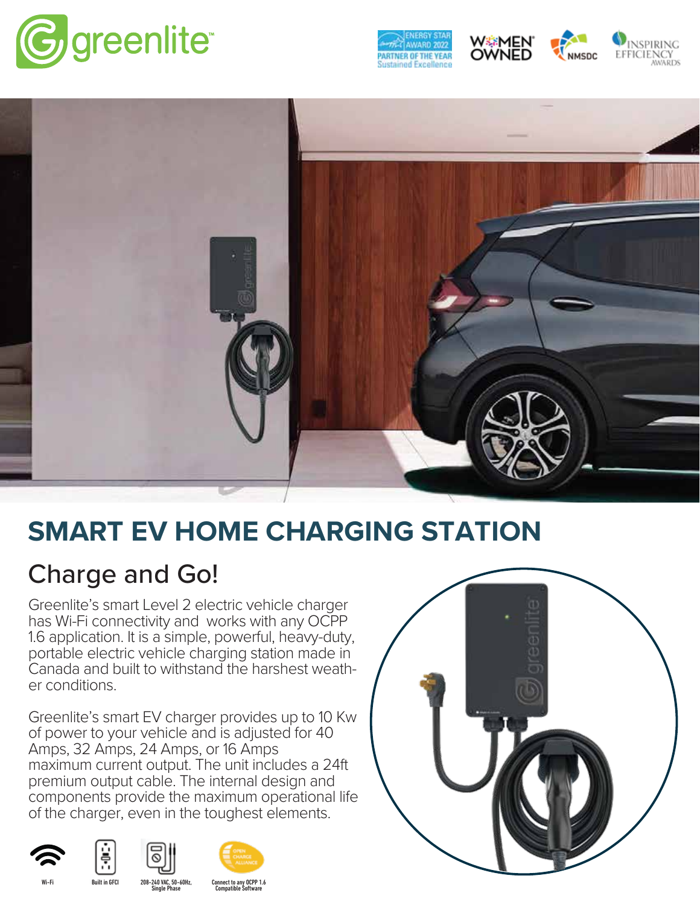







**NMSDC** 



## **SMART EV HOME CHARGING STATION**

## Charge and Go!

Greenlite's smart Level 2 electric vehicle charger has Wi-Fi connectivity and works with any OCPP 1.6 application. It is a simple, powerful, heavy-duty, portable electric vehicle charging station made in Canada and built to withstand the harshest weath er conditions.

Greenlite's smart EV charger provides up to 10 Kw of power to your vehicle and is adjusted for 40 Amps, 32 Amps, 24 Amps, or 16 Amps maximum current output. The unit includes a 24ft premium output cable. The internal design and components provide the maximum operational life of the charger, even in the toughest elements.











Connect to any OCPP 1.6 Compatible Software Wi-Fi Built in GFCI 208-240 VAC, 50-60Hz, Single Phase